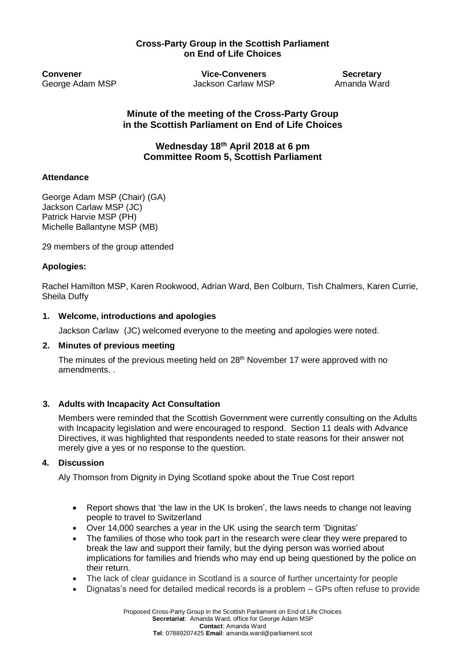# **Cross-Party Group in the Scottish Parliament on End of Life Choices**

**Convener Vice-Conveners Secretary** George Adam MSP **Jackson Carlaw MSP** Amanda Ward

**Minute of the meeting of the Cross-Party Group in the Scottish Parliament on End of Life Choices**

**Wednesday 18th April 2018 at 6 pm Committee Room 5, Scottish Parliament** 

## **Attendance**

George Adam MSP (Chair) (GA) Jackson Carlaw MSP (JC) Patrick Harvie MSP (PH) Michelle Ballantyne MSP (MB)

29 members of the group attended

## **Apologies:**

Rachel Hamilton MSP, Karen Rookwood, Adrian Ward, Ben Colburn, Tish Chalmers, Karen Currie, Sheila Duffy

## **1. Welcome, introductions and apologies**

Jackson Carlaw (JC) welcomed everyone to the meeting and apologies were noted.

### **2. Minutes of previous meeting**

The minutes of the previous meeting held on 28<sup>th</sup> November 17 were approved with no amendments. .

### **3. Adults with Incapacity Act Consultation**

Members were reminded that the Scottish Government were currently consulting on the Adults with Incapacity legislation and were encouraged to respond. Section 11 deals with Advance Directives, it was highlighted that respondents needed to state reasons for their answer not merely give a yes or no response to the question.

### **4. Discussion**

Aly Thomson from Dignity in Dying Scotland spoke about the True Cost report

- Report shows that 'the law in the UK Is broken', the laws needs to change not leaving people to travel to Switzerland
- Over 14,000 searches a year in the UK using the search term 'Dignitas'
- The families of those who took part in the research were clear they were prepared to break the law and support their family, but the dying person was worried about implications for families and friends who may end up being questioned by the police on their return.
- The lack of clear guidance in Scotland is a source of further uncertainty for people
- Dignatas's need for detailed medical records is a problem GPs often refuse to provide